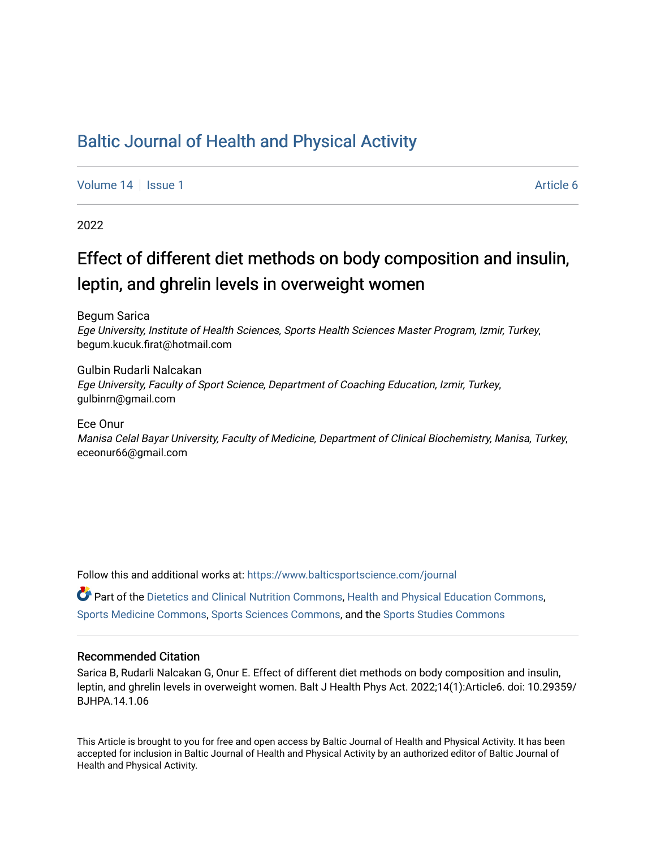## [Baltic Journal of Health and Physical Activity](https://www.balticsportscience.com/journal)

[Volume 14](https://www.balticsportscience.com/journal/vol14) Suitsue 1 Article 6

2022

# Effect of different diet methods on body composition and insulin, leptin, and ghrelin levels in overweight women

Begum Sarica Ege University, Institute of Health Sciences, Sports Health Sciences Master Program, Izmir, Turkey, begum.kucuk.firat@hotmail.com

Gulbin Rudarli Nalcakan Ege University, Faculty of Sport Science, Department of Coaching Education, Izmir, Turkey, gulbinrn@gmail.com

Ece Onur

Manisa Celal Bayar University, Faculty of Medicine, Department of Clinical Biochemistry, Manisa, Turkey, eceonur66@gmail.com

Follow this and additional works at: [https://www.balticsportscience.com/journal](https://www.balticsportscience.com/journal?utm_source=www.balticsportscience.com%2Fjournal%2Fvol14%2Fiss1%2F6&utm_medium=PDF&utm_campaign=PDFCoverPages) 

**P** Part of the [Dietetics and Clinical Nutrition Commons,](https://network.bepress.com/hgg/discipline/662?utm_source=www.balticsportscience.com%2Fjournal%2Fvol14%2Fiss1%2F6&utm_medium=PDF&utm_campaign=PDFCoverPages) [Health and Physical Education Commons,](https://network.bepress.com/hgg/discipline/1327?utm_source=www.balticsportscience.com%2Fjournal%2Fvol14%2Fiss1%2F6&utm_medium=PDF&utm_campaign=PDFCoverPages) [Sports Medicine Commons,](https://network.bepress.com/hgg/discipline/1331?utm_source=www.balticsportscience.com%2Fjournal%2Fvol14%2Fiss1%2F6&utm_medium=PDF&utm_campaign=PDFCoverPages) [Sports Sciences Commons,](https://network.bepress.com/hgg/discipline/759?utm_source=www.balticsportscience.com%2Fjournal%2Fvol14%2Fiss1%2F6&utm_medium=PDF&utm_campaign=PDFCoverPages) and the [Sports Studies Commons](https://network.bepress.com/hgg/discipline/1198?utm_source=www.balticsportscience.com%2Fjournal%2Fvol14%2Fiss1%2F6&utm_medium=PDF&utm_campaign=PDFCoverPages)

## Recommended Citation

Sarica B, Rudarli Nalcakan G, Onur E. Effect of different diet methods on body composition and insulin, leptin, and ghrelin levels in overweight women. Balt J Health Phys Act. 2022;14(1):Article6. doi: 10.29359/ BJHPA.14.1.06

This Article is brought to you for free and open access by Baltic Journal of Health and Physical Activity. It has been accepted for inclusion in Baltic Journal of Health and Physical Activity by an authorized editor of Baltic Journal of Health and Physical Activity.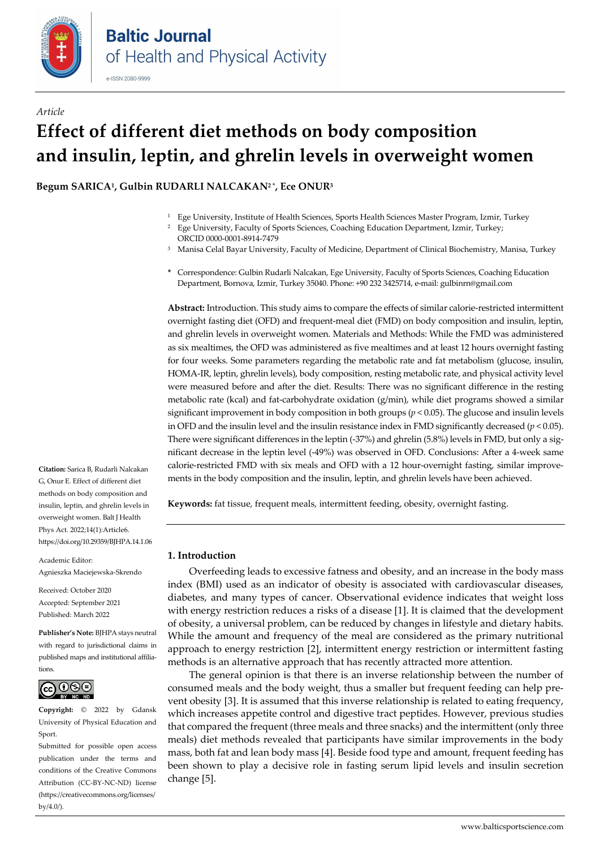

# *Article* **Effect of different diet methods on body composition and insulin, leptin, and ghrelin levels in overweight women**

**Begum SARICA1, Gulbin RUDARLI NALCAKAN2 \*, Ece ONUR3**

- <sup>1</sup> Ege University, Institute of Health Sciences, Sports Health Sciences Master Program, Izmir, Turkey
- <sup>2</sup> Ege University, Faculty of Sports Sciences, Coaching Education Department, Izmir, Turkey; ORCI[D 0000-0001-8914-7479](https://orcid.org/0000-0001-8914-7479)
- <sup>3</sup> Manisa Celal Bayar University, Faculty of Medicine, Department of Clinical Biochemistry, Manisa, Turkey
- **\*** Correspondence: Gulbin Rudarli Nalcakan, Ege University, Faculty of Sports Sciences, Coaching Education Department, Bornova, Izmir, Turkey 35040. Phone: +90 232 3425714, e-mail: gulbinrn@gmail.com

**Abstract:** Introduction. This study aims to compare the effects of similar calorie-restricted intermittent overnight fasting diet (OFD) and frequent-meal diet (FMD) on body composition and insulin, leptin, and ghrelin levels in overweight women. Materials and Methods: While the FMD was administered as six mealtimes, the OFD was administered as five mealtimes and at least 12 hours overnight fasting for four weeks. Some parameters regarding the metabolic rate and fat metabolism (glucose, insulin, HOMA-IR, leptin, ghrelin levels), body composition, resting metabolic rate, and physical activity level were measured before and after the diet. Results: There was no significant difference in the resting metabolic rate (kcal) and fat-carbohydrate oxidation (g/min), while diet programs showed a similar significant improvement in body composition in both groups (*p* < 0.05). The glucose and insulin levels in OFD and the insulin level and the insulin resistance index in FMD significantly decreased (*p* < 0.05). There were significant differences in the leptin (-37%) and ghrelin (5.8%) levels in FMD, but only a significant decrease in the leptin level (-49%) was observed in OFD. Conclusions: After a 4-week same calorie-restricted FMD with six meals and OFD with a 12 hour-overnight fasting, similar improvements in the body composition and the insulin, leptin, and ghrelin levels have been achieved.

**Keywords:** fat tissue, frequent meals, intermittent feeding, obesity, overnight fasting.

## **1. Introduction**

Overfeeding leads to excessive fatness and obesity, and an increase in the body mass index (BMI) used as an indicator of obesity is associated with cardiovascular diseases, diabetes, and many types of cancer. Observational evidence indicates that weight loss with energy restriction reduces a risks of a disease [1]. It is claimed that the development of obesity, a universal problem, can be reduced by changes in lifestyle and dietary habits. While the amount and frequency of the meal are considered as the primary nutritional approach to energy restriction [2], intermittent energy restriction or intermittent fasting methods is an alternative approach that has recently attracted more attention.

The general opinion is that there is an inverse relationship between the number of consumed meals and the body weight, thus a smaller but frequent feeding can help prevent obesity [3]. It is assumed that this inverse relationship is related to eating frequency, which increases appetite control and digestive tract peptides. However, previous studies that compared the frequent (three meals and three snacks) and the intermittent (only three meals) diet methods revealed that participants have similar improvements in the body mass, both fat and lean body mass [4]. Beside food type and amount, frequent feeding has been shown to play a decisive role in fasting serum lipid levels and insulin secretion change [5].

**Citation:** Sarica B, Rudarli Nalcakan G, Onur E. Effect of different diet methods on body composition and insulin, leptin, and ghrelin levels in overweight women. Balt J Health Phys Act. 2022;14(1):Article6. https://doi.org/10.29359/BJHPA.14.1.06

Academic Editor:

Agnieszka Maciejewska-Skrendo

Received: October 2020 Accepted: September 2021 Published: March 2022

**Publisher's Note:** BJHPA stays neutral with regard to jurisdictional claims in published maps and institutional affiliations.



**Copyright:** © 2022 by Gdansk University of Physical Education and Sport.

Submitted for possible open access publication under the terms and conditions of the Creative Commons Attribution (CC-BY-NC-ND) license (https://creativecommons.org/licenses/  $by/4.0/$ ).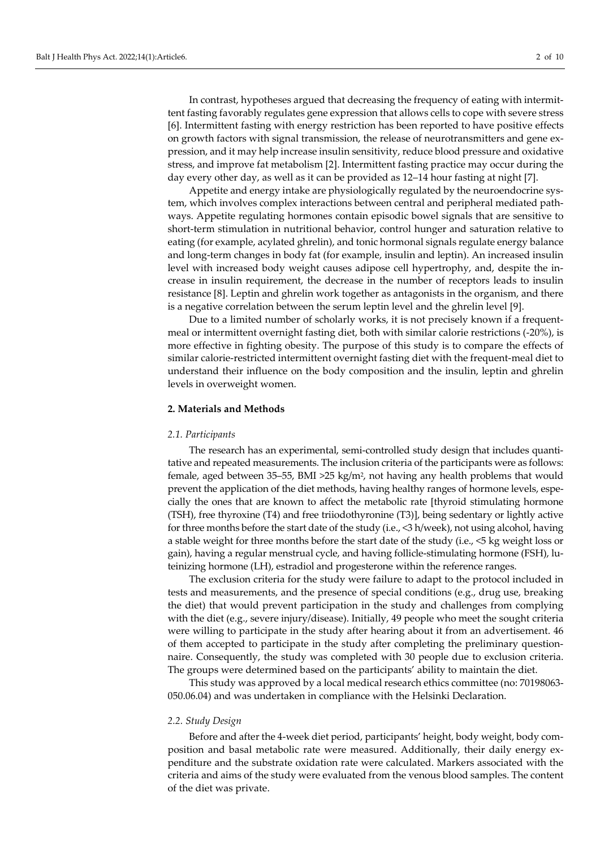In contrast, hypotheses argued that decreasing the frequency of eating with intermittent fasting favorably regulates gene expression that allows cells to cope with severe stress [6]. Intermittent fasting with energy restriction has been reported to have positive effects on growth factors with signal transmission, the release of neurotransmitters and gene expression, and it may help increase insulin sensitivity, reduce blood pressure and oxidative stress, and improve fat metabolism [2]. Intermittent fasting practice may occur during the day every other day, as well as it can be provided as 12–14 hour fasting at night [7].

Appetite and energy intake are physiologically regulated by the neuroendocrine system, which involves complex interactions between central and peripheral mediated pathways. Appetite regulating hormones contain episodic bowel signals that are sensitive to short-term stimulation in nutritional behavior, control hunger and saturation relative to eating (for example, acylated ghrelin), and tonic hormonal signals regulate energy balance and long-term changes in body fat (for example, insulin and leptin). An increased insulin level with increased body weight causes adipose cell hypertrophy, and, despite the increase in insulin requirement, the decrease in the number of receptors leads to insulin resistance [8]. Leptin and ghrelin work together as antagonists in the organism, and there is a negative correlation between the serum leptin level and the ghrelin level [9].

Due to a limited number of scholarly works, it is not precisely known if a frequentmeal or intermittent overnight fasting diet, both with similar calorie restrictions (-20%), is more effective in fighting obesity. The purpose of this study is to compare the effects of similar calorie-restricted intermittent overnight fasting diet with the frequent-meal diet to understand their influence on the body composition and the insulin, leptin and ghrelin levels in overweight women.

#### **2. Materials and Methods**

#### *2.1. Participants*

The research has an experimental, semi-controlled study design that includes quantitative and repeated measurements. The inclusion criteria of the participants were as follows: female, aged between 35–55, BMI > 25 kg/m<sup>2</sup>, not having any health problems that would prevent the application of the diet methods, having healthy ranges of hormone levels, especially the ones that are known to affect the metabolic rate [thyroid stimulating hormone (TSH), free thyroxine (T4) and free triiodothyronine (T3)], being sedentary or lightly active for three months before the start date of the study (i.e., <3 h/week), not using alcohol, having a stable weight for three months before the start date of the study (i.e., <5 kg weight loss or gain), having a regular menstrual cycle, and having follicle-stimulating hormone (FSH), luteinizing hormone (LH), estradiol and progesterone within the reference ranges.

The exclusion criteria for the study were failure to adapt to the protocol included in tests and measurements, and the presence of special conditions (e.g., drug use, breaking the diet) that would prevent participation in the study and challenges from complying with the diet (e.g., severe injury/disease). Initially, 49 people who meet the sought criteria were willing to participate in the study after hearing about it from an advertisement. 46 of them accepted to participate in the study after completing the preliminary questionnaire. Consequently, the study was completed with 30 people due to exclusion criteria. The groups were determined based on the participants' ability to maintain the diet.

This study was approved by a local medical research ethics committee (no: 70198063- 050.06.04) and was undertaken in compliance with the Helsinki Declaration.

## *2.2. Study Design*

Before and after the 4-week diet period, participants' height, body weight, body composition and basal metabolic rate were measured. Additionally, their daily energy expenditure and the substrate oxidation rate were calculated. Markers associated with the criteria and aims of the study were evaluated from the venous blood samples. The content of the diet was private.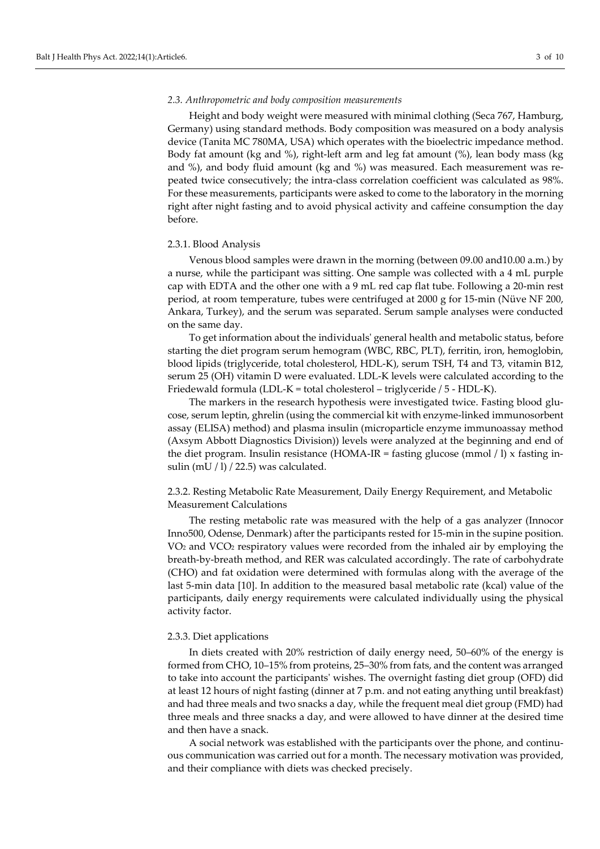#### *2.3. Anthropometric and body composition measurements*

Height and body weight were measured with minimal clothing (Seca 767, Hamburg, Germany) using standard methods. Body composition was measured on a body analysis device (Tanita MC 780MA, USA) which operates with the bioelectric impedance method. Body fat amount (kg and %), right-left arm and leg fat amount (%), lean body mass (kg and %), and body fluid amount (kg and %) was measured. Each measurement was repeated twice consecutively; the intra-class correlation coefficient was calculated as 98%. For these measurements, participants were asked to come to the laboratory in the morning right after night fasting and to avoid physical activity and caffeine consumption the day before.

#### 2.3.1. Blood Analysis

Venous blood samples were drawn in the morning (between 09.00 and10.00 a.m.) by a nurse, while the participant was sitting. One sample was collected with a 4 mL purple cap with EDTA and the other one with a 9 mL red cap flat tube. Following a 20-min rest period, at room temperature, tubes were centrifuged at 2000 g for 15-min (Nüve NF 200, Ankara, Turkey), and the serum was separated. Serum sample analyses were conducted on the same day.

To get information about the individuals' general health and metabolic status, before starting the diet program serum hemogram (WBC, RBC, PLT), ferritin, iron, hemoglobin, blood lipids (triglyceride, total cholesterol, HDL-K), serum TSH, T4 and T3, vitamin B12, serum 25 (OH) vitamin D were evaluated. LDL-K levels were calculated according to the Friedewald formula (LDL-K = total cholesterol – triglyceride / 5 - HDL-K).

The markers in the research hypothesis were investigated twice. Fasting blood glucose, serum leptin, ghrelin (using the commercial kit with enzyme-linked immunosorbent assay (ELISA) method) and plasma insulin (microparticle enzyme immunoassay method (Axsym Abbott Diagnostics Division)) levels were analyzed at the beginning and end of the diet program. Insulin resistance (HOMA-IR = fasting glucose (mmol / l) x fasting insulin (mU / l) / 22.5) was calculated.

2.3.2. Resting Metabolic Rate Measurement, Daily Energy Requirement, and Metabolic Measurement Calculations

The resting metabolic rate was measured with the help of a gas analyzer (Innocor Inno500, Odense, Denmark) after the participants rested for 15-min in the supine position. VO2 and VCO2 respiratory values were recorded from the inhaled air by employing the breath-by-breath method, and RER was calculated accordingly. The rate of carbohydrate (CHO) and fat oxidation were determined with formulas along with the average of the last 5-min data [10]. In addition to the measured basal metabolic rate (kcal) value of the participants, daily energy requirements were calculated individually using the physical activity factor.

#### 2.3.3. Diet applications

In diets created with 20% restriction of daily energy need, 50–60% of the energy is formed from CHO, 10–15% from proteins, 25–30% from fats, and the content was arranged to take into account the participants' wishes. The overnight fasting diet group (OFD) did at least 12 hours of night fasting (dinner at 7 p.m. and not eating anything until breakfast) and had three meals and two snacks a day, while the frequent meal diet group (FMD) had three meals and three snacks a day, and were allowed to have dinner at the desired time and then have a snack.

A social network was established with the participants over the phone, and continuous communication was carried out for a month. The necessary motivation was provided, and their compliance with diets was checked precisely.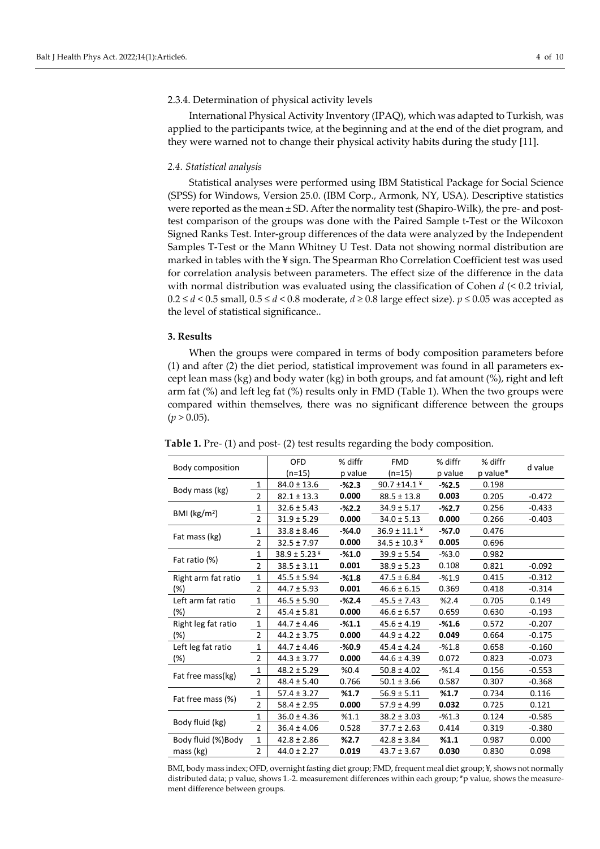### 2.3.4. Determination of physical activity levels

International Physical Activity Inventory (IPAQ), which was adapted to Turkish, was applied to the participants twice, at the beginning and at the end of the diet program, and they were warned not to change their physical activity habits during the study [11].

#### *2.4. Statistical analysis*

Statistical analyses were performed using IBM Statistical Package for Social Science (SPSS) for Windows, Version 25.0. (IBM Corp., Armonk, NY, USA). Descriptive statistics were reported as the mean  $\pm$  SD. After the normality test (Shapiro-Wilk), the pre- and posttest comparison of the groups was done with the Paired Sample t-Test or the Wilcoxon Signed Ranks Test. Inter-group differences of the data were analyzed by the Independent Samples T-Test or the Mann Whitney U Test. Data not showing normal distribution are marked in tables with the ¥ sign. The Spearman Rho Correlation Coefficient test was used for correlation analysis between parameters. The effect size of the difference in the data with normal distribution was evaluated using the classification of Cohen *d* (< 0.2 trivial, 0.2 ≤ *d* < 0.5 small, 0.5 ≤ *d* < 0.8 moderate, *d* ≥ 0.8 large effect size). *p* ≤ 0.05 was accepted as the level of statistical significance..

## **3. Results**

When the groups were compared in terms of body composition parameters before (1) and after (2) the diet period, statistical improvement was found in all parameters except lean mass (kg) and body water (kg) in both groups, and fat amount  $\%$ ), right and left arm fat (%) and left leg fat (%) results only in FMD (Table 1). When the two groups were compared within themselves, there was no significant difference between the groups  $(p > 0.05)$ .

| Body composition           |                | <b>OFD</b>        | % diffr | <b>FMD</b>          | % diffr  | % diffr  | d value  |  |
|----------------------------|----------------|-------------------|---------|---------------------|----------|----------|----------|--|
|                            |                | (n=15)            | p value | $(n=15)$            | p value  | p value* |          |  |
|                            | 1              | $84.0 \pm 13.6$   | $-%2.3$ | 90.7 ±14.1 $*$      | $-%2.5$  | 0.198    |          |  |
| Body mass (kg)             | $\overline{2}$ | $82.1 \pm 13.3$   | 0.000   | $88.5 \pm 13.8$     | 0.003    | 0.205    | $-0.472$ |  |
| BMI $(kg/m2)$              | 1              | $32.6 \pm 5.43$   | $-%2.2$ | $34.9 \pm 5.17$     | $-%2.7$  | 0.256    | $-0.433$ |  |
|                            | $\overline{2}$ | $31.9 \pm 5.29$   | 0.000   | $34.0 \pm 5.13$     | 0.000    | 0.266    | $-0.403$ |  |
| Fat mass (kg)              | 1              | $33.8 \pm 8.46$   | $-%4.0$ | $36.9 \pm 11.1$ $*$ | $-%7.0$  | 0.476    |          |  |
|                            | $\overline{2}$ | $32.5 \pm 7.97$   | 0.000   | $34.5 \pm 10.3$ ¥   | 0.005    | 0.696    |          |  |
| Fat ratio (%)              | 1              | $38.9 \pm 5.23^*$ | $-%1.0$ | $39.9 \pm 5.54$     | $-%3.0$  | 0.982    |          |  |
|                            | $\overline{2}$ | $38.5 \pm 3.11$   | 0.001   | $38.9 \pm 5.23$     | 0.108    | 0.821    | $-0.092$ |  |
| Right arm fat ratio        | 1              | $45.5 \pm 5.94$   | $-%1.8$ | $47.5 \pm 6.84$     | $-%1.9$  | 0.415    | $-0.312$ |  |
| (%)                        | $\overline{2}$ | $44.7 \pm 5.93$   | 0.001   | $46.6 \pm 6.15$     | 0.369    | 0.418    | $-0.314$ |  |
| Left arm fat ratio<br>(%)  | $\mathbf{1}$   | $46.5 \pm 5.90$   | $-%2.4$ | $45.5 \pm 7.43$     | %2.4     | 0.705    | 0.149    |  |
|                            | $\overline{2}$ | $45.4 \pm 5.81$   | 0.000   | $46.6 \pm 6.57$     | 0.659    | 0.630    | $-0.193$ |  |
| Right leg fat ratio<br>(%) | 1              | $44.7 \pm 4.46$   | $-81.1$ | $45.6 \pm 4.19$     | $-%1.6$  | 0.572    | $-0.207$ |  |
|                            | $\overline{2}$ | 44.2 ± 3.75       | 0.000   | $44.9 \pm 4.22$     | 0.049    | 0.664    | $-0.175$ |  |
| Left leg fat ratio         | 1              | 44.7 ± 4.46       | $-%0.9$ | $45.4 \pm 4.24$     | $-%1.8$  | 0.658    | $-0.160$ |  |
| $(\%)$                     | $\overline{2}$ | $44.3 \pm 3.77$   | 0.000   | $44.6 \pm 4.39$     | 0.072    | 0.823    | $-0.073$ |  |
| Fat free mass(kg)          | 1              | $48.2 \pm 5.29$   | %0.4    | $50.8 \pm 4.02$     | $-961.4$ | 0.156    | $-0.553$ |  |
|                            | $\overline{2}$ | $48.4 \pm 5.40$   | 0.766   | $50.1 \pm 3.66$     | 0.587    | 0.307    | $-0.368$ |  |
| Fat free mass (%)          | 1              | $57.4 \pm 3.27$   | %1.7    | $56.9 \pm 5.11$     | %1.7     | 0.734    | 0.116    |  |
|                            | $\overline{2}$ | $58.4 \pm 2.95$   | 0.000   | $57.9 \pm 4.99$     | 0.032    | 0.725    | 0.121    |  |
| Body fluid (kg)            | 1              | $36.0 \pm 4.36$   | %1.1    | $38.2 \pm 3.03$     | $-%1.3$  | 0.124    | $-0.585$ |  |
|                            | $\mathfrak{p}$ | $36.4 \pm 4.06$   | 0.528   | $37.7 \pm 2.63$     | 0.414    | 0.319    | $-0.380$ |  |
| Body fluid (%) Body        | $\mathbf{1}$   | $42.8 \pm 2.86$   | %2.7    | $42.8 \pm 3.84$     | %1.1     | 0.987    | 0.000    |  |
| mass (kg)                  | $\overline{2}$ | $44.0 \pm 2.27$   | 0.019   | $43.7 \pm 3.67$     | 0.030    | 0.830    | 0.098    |  |

**Table 1.** Pre- (1) and post- (2) test results regarding the body composition.

BMI, body mass index; OFD, overnight fasting diet group; FMD, frequent meal diet group; ¥, shows not normally distributed data; p value, shows 1.-2. measurement differences within each group; \*p value, shows the measurement difference between groups.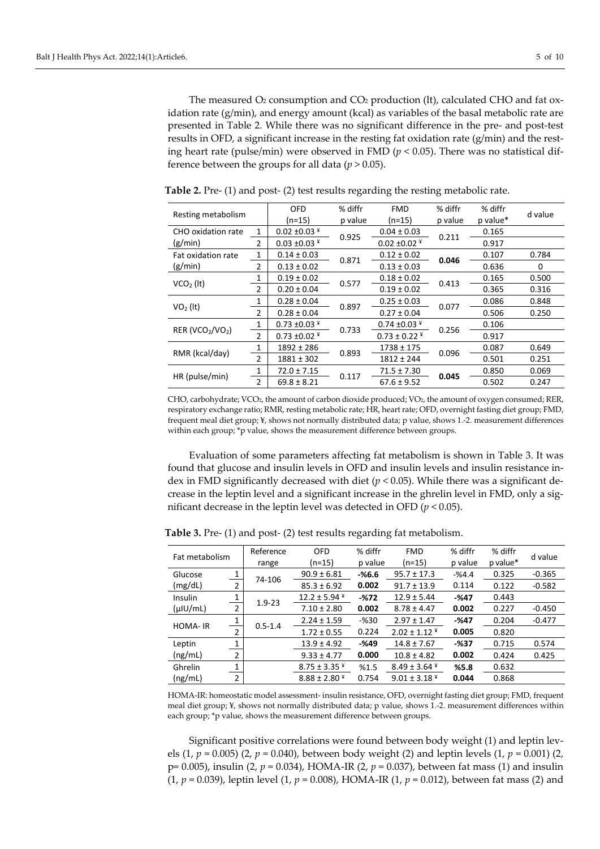The measured O<sub>2</sub> consumption and CO<sub>2</sub> production (lt), calculated CHO and fat oxidation rate (g/min), and energy amount (kcal) as variables of the basal metabolic rate are presented in Table 2. While there was no significant difference in the pre- and post-test results in OFD, a significant increase in the resting fat oxidation rate  $(g/\text{min})$  and the resting heart rate (pulse/min) were observed in FMD ( $p < 0.05$ ). There was no statistical difference between the groups for all data ( $p > 0.05$ ).

| Resting metabolism                       |                | OFD               | % diffr | <b>FMD</b>        | % diffr | % diffr  | d value |  |
|------------------------------------------|----------------|-------------------|---------|-------------------|---------|----------|---------|--|
|                                          |                | $(n=15)$          | p value | (n=15)            | p value | p value* |         |  |
| CHO oxidation rate                       |                | $0.02 \pm 0.03$ ¥ | 0.925   | $0.04 \pm 0.03$   |         | 0.165    |         |  |
| (g/min)                                  | 2              | $0.03 \pm 0.03$ ¥ |         | $0.02 \pm 0.02$ ¥ | 0.211   | 0.917    |         |  |
| Fat oxidation rate                       | 1              | $0.14 \pm 0.03$   |         | $0.12 \pm 0.02$   |         | 0.107    | 0.784   |  |
| (g/min)                                  | 2              | $0.13 \pm 0.02$   | 0.871   | $0.13 \pm 0.03$   | 0.046   | 0.636    | 0       |  |
| $VCO2$ (lt)                              | 1              | $0.19 \pm 0.02$   |         | $0.18 \pm 0.02$   |         | 0.165    | 0.500   |  |
|                                          | 2              | $0.20 \pm 0.04$   | 0.577   | $0.19 \pm 0.02$   | 0.413   | 0.365    | 0.316   |  |
| $VO2$ (It)                               | 1              | $0.28 \pm 0.04$   | 0.897   | $0.25 \pm 0.03$   | 0.077   | 0.086    | 0.848   |  |
|                                          | $\overline{2}$ | $0.28 \pm 0.04$   |         | $0.27 \pm 0.04$   |         | 0.506    | 0.250   |  |
| RER (VCO <sub>2</sub> /VO <sub>2</sub> ) | $\mathbf{1}$   | $0.73 \pm 0.03$ ¥ |         | $0.74 \pm 0.03$ ¥ |         | 0.106    |         |  |
|                                          | $\overline{2}$ | $0.73 \pm 0.02$ ¥ | 0.733   | $0.73 \pm 0.22$ ¥ | 0.256   | 0.917    |         |  |
| RMR (kcal/day)                           | $\mathbf{1}$   | $1892 \pm 286$    |         | 1738 ± 175        |         | 0.087    | 0.649   |  |
|                                          | $\mathfrak{p}$ | $1881 \pm 302$    | 0.893   | $1812 \pm 244$    | 0.096   | 0.501    | 0.251   |  |
| HR (pulse/min)                           | 1              | $72.0 \pm 7.15$   |         | $71.5 \pm 7.30$   |         | 0.850    | 0.069   |  |
|                                          | $\overline{2}$ | $69.8 \pm 8.21$   | 0.117   | $67.6 \pm 9.52$   | 0.045   | 0.502    | 0.247   |  |

**Table 2.** Pre- (1) and post- (2) test results regarding the resting metabolic rate.

CHO, carbohydrate; VCO2, the amount of carbon dioxide produced; VO2, the amount of oxygen consumed; RER, respiratory exchange ratio; RMR, resting metabolic rate; HR, heart rate; OFD, overnight fasting diet group; FMD, frequent meal diet group; ¥, shows not normally distributed data; p value, shows 1.-2. measurement differences within each group; \*p value, shows the measurement difference between groups.

Evaluation of some parameters affecting fat metabolism is shown in Table 3. It was found that glucose and insulin levels in OFD and insulin levels and insulin resistance index in FMD significantly decreased with diet ( $p < 0.05$ ). While there was a significant decrease in the leptin level and a significant increase in the ghrelin level in FMD, only a significant decrease in the leptin level was detected in OFD (*p* < 0.05).

| Fat metabolism |                | Reference   | <b>OFD</b>          | % diffr | <b>FMD</b>        | % diffr | % diffr  | d value  |
|----------------|----------------|-------------|---------------------|---------|-------------------|---------|----------|----------|
|                |                | range       | $(n=15)$            | p value | $(n=15)$          | p value | p value* |          |
| Glucose        |                |             | $90.9 \pm 6.81$     | $-%6.6$ | $95.7 \pm 17.3$   | $-%4.4$ | 0.325    | $-0.365$ |
| (mg/dL)        | $\overline{2}$ | 74-106      | $85.3 \pm 6.92$     | 0.002   | $91.7 \pm 13.9$   | 0.114   | 0.122    | $-0.582$ |
| Insulin        |                | $1.9 - 23$  | $12.2 \pm 5.94$ ¥   | $-%72$  | $12.9 \pm 5.44$   | $-%47$  | 0.443    |          |
| $(\mu$ IU/mL)  | 2              |             | $7.10 \pm 2.80$     | 0.002   | $8.78 \pm 4.47$   | 0.002   | 0.227    | $-0.450$ |
| <b>HOMA-IR</b> | 1              | $0.5 - 1.4$ | $2.24 \pm 1.59$     | $-%30$  | $2.97 \pm 1.47$   | $-%47$  | 0.204    | $-0.477$ |
|                | $\overline{2}$ |             | $1.72 \pm 0.55$     | 0.224   | $2.02 \pm 1.12$ ¥ | 0.005   | 0.820    |          |
| Leptin         |                |             | $13.9 \pm 4.92$     | $-%49$  | $14.8 \pm 7.67$   | $-%37$  | 0.715    | 0.574    |
| (ng/mL)        | $\overline{2}$ |             | $9.33 \pm 4.77$     | 0.000   | $10.8 \pm 4.82$   | 0.002   | 0.424    | 0.425    |
| Ghrelin        | 1              |             | $8.75 \pm 3.35$ $*$ | %1.5    | $8.49 \pm 3.64$ ¥ | %5.8    | 0.632    |          |
| (ng/mL)        | $\overline{2}$ |             | $8.88 \pm 2.80$ ¥   | 0.754   | $9.01 \pm 3.18$ ¥ | 0.044   | 0.868    |          |

**Table 3.** Pre- (1) and post- (2) test results regarding fat metabolism.

HOMA-IR: homeostatic model assessment- insulin resistance, OFD, overnight fasting diet group; FMD, frequent meal diet group; ¥, shows not normally distributed data; p value, shows 1.-2. measurement differences within each group; \*p value, shows the measurement difference between groups.

Significant positive correlations were found between body weight (1) and leptin levels (1, *p* = 0.005) (2, *p* = 0.040), between body weight (2) and leptin levels (1, *p* = 0.001) (2, p= 0.005), insulin (2, *p* = 0.034), HOMA-IR (2, *p* = 0.037), between fat mass (1) and insulin (1, *p* = 0.039), leptin level (1, *p* = 0.008), HOMA-IR (1, *p* = 0.012), between fat mass (2) and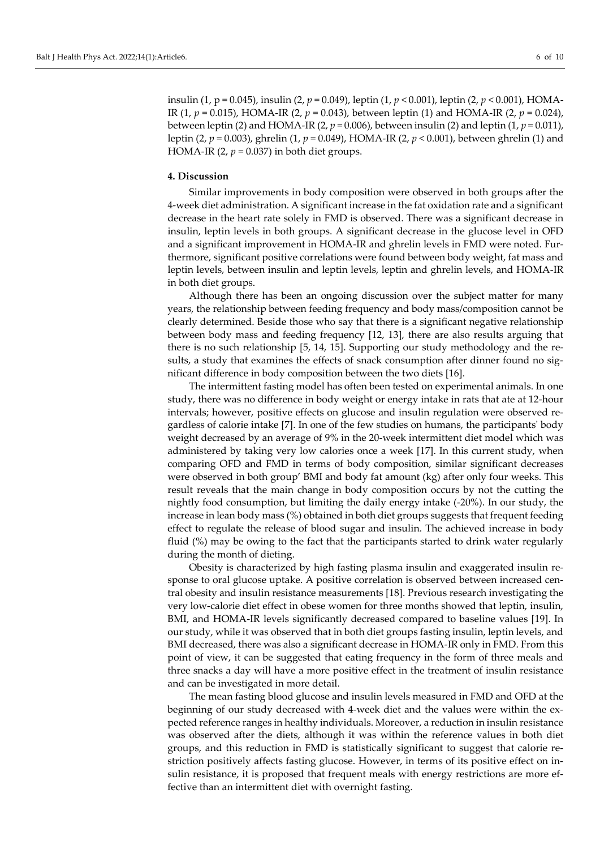## **4. Discussion**

Similar improvements in body composition were observed in both groups after the 4-week diet administration. A significant increase in the fat oxidation rate and a significant decrease in the heart rate solely in FMD is observed. There was a significant decrease in insulin, leptin levels in both groups. A significant decrease in the glucose level in OFD and a significant improvement in HOMA-IR and ghrelin levels in FMD were noted. Furthermore, significant positive correlations were found between body weight, fat mass and leptin levels, between insulin and leptin levels, leptin and ghrelin levels, and HOMA-IR in both diet groups.

Although there has been an ongoing discussion over the subject matter for many years, the relationship between feeding frequency and body mass/composition cannot be clearly determined. Beside those who say that there is a significant negative relationship between body mass and feeding frequency [12, 13], there are also results arguing that there is no such relationship [5, 14, 15]. Supporting our study methodology and the results, a study that examines the effects of snack consumption after dinner found no significant difference in body composition between the two diets [16].

The intermittent fasting model has often been tested on experimental animals. In one study, there was no difference in body weight or energy intake in rats that ate at 12-hour intervals; however, positive effects on glucose and insulin regulation were observed regardless of calorie intake [7]. In one of the few studies on humans, the participants' body weight decreased by an average of 9% in the 20-week intermittent diet model which was administered by taking very low calories once a week [17]. In this current study, when comparing OFD and FMD in terms of body composition, similar significant decreases were observed in both group' BMI and body fat amount (kg) after only four weeks. This result reveals that the main change in body composition occurs by not the cutting the nightly food consumption, but limiting the daily energy intake (-20%). In our study, the increase in lean body mass (%) obtained in both diet groups suggests that frequent feeding effect to regulate the release of blood sugar and insulin. The achieved increase in body fluid (%) may be owing to the fact that the participants started to drink water regularly during the month of dieting.

Obesity is characterized by high fasting plasma insulin and exaggerated insulin response to oral glucose uptake. A positive correlation is observed between increased central obesity and insulin resistance measurements [18]. Previous research investigating the very low-calorie diet effect in obese women for three months showed that leptin, insulin, BMI, and HOMA-IR levels significantly decreased compared to baseline values [19]. In our study, while it was observed that in both diet groups fasting insulin, leptin levels, and BMI decreased, there was also a significant decrease in HOMA-IR only in FMD. From this point of view, it can be suggested that eating frequency in the form of three meals and three snacks a day will have a more positive effect in the treatment of insulin resistance and can be investigated in more detail.

The mean fasting blood glucose and insulin levels measured in FMD and OFD at the beginning of our study decreased with 4-week diet and the values were within the expected reference ranges in healthy individuals. Moreover, a reduction in insulin resistance was observed after the diets, although it was within the reference values in both diet groups, and this reduction in FMD is statistically significant to suggest that calorie restriction positively affects fasting glucose. However, in terms of its positive effect on insulin resistance, it is proposed that frequent meals with energy restrictions are more effective than an intermittent diet with overnight fasting.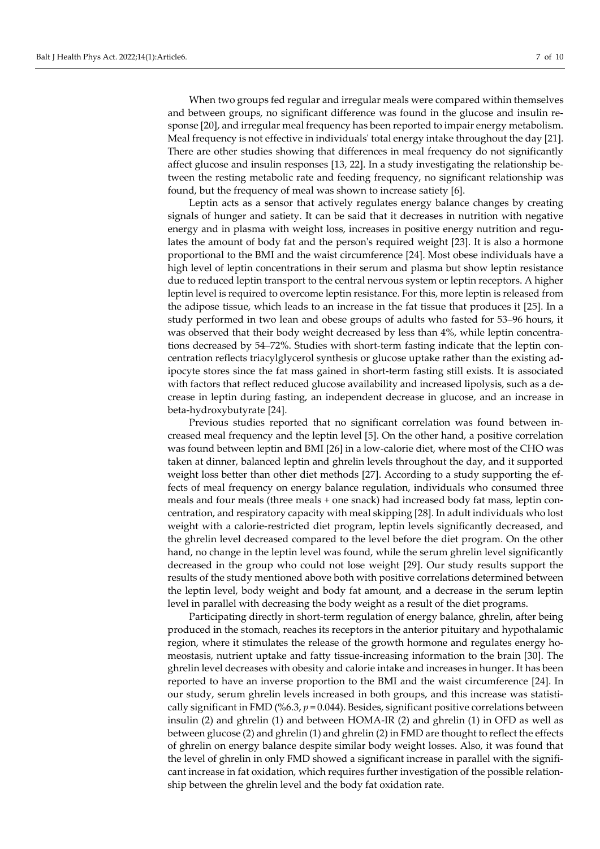When two groups fed regular and irregular meals were compared within themselves and between groups, no significant difference was found in the glucose and insulin response [20], and irregular meal frequency has been reported to impair energy metabolism. Meal frequency is not effective in individuals' total energy intake throughout the day [21]. There are other studies showing that differences in meal frequency do not significantly affect glucose and insulin responses [13, 22]. In a study investigating the relationship between the resting metabolic rate and feeding frequency, no significant relationship was found, but the frequency of meal was shown to increase satiety [6].

Leptin acts as a sensor that actively regulates energy balance changes by creating signals of hunger and satiety. It can be said that it decreases in nutrition with negative energy and in plasma with weight loss, increases in positive energy nutrition and regulates the amount of body fat and the person's required weight [23]. It is also a hormone proportional to the BMI and the waist circumference [24]. Most obese individuals have a high level of leptin concentrations in their serum and plasma but show leptin resistance due to reduced leptin transport to the central nervous system or leptin receptors. A higher leptin level is required to overcome leptin resistance. For this, more leptin is released from the adipose tissue, which leads to an increase in the fat tissue that produces it [25]. In a study performed in two lean and obese groups of adults who fasted for 53–96 hours, it was observed that their body weight decreased by less than 4%, while leptin concentrations decreased by 54–72%. Studies with short-term fasting indicate that the leptin concentration reflects triacylglycerol synthesis or glucose uptake rather than the existing adipocyte stores since the fat mass gained in short-term fasting still exists. It is associated with factors that reflect reduced glucose availability and increased lipolysis, such as a decrease in leptin during fasting, an independent decrease in glucose, and an increase in beta-hydroxybutyrate [24].

Previous studies reported that no significant correlation was found between increased meal frequency and the leptin level [5]. On the other hand, a positive correlation was found between leptin and BMI [26] in a low-calorie diet, where most of the CHO was taken at dinner, balanced leptin and ghrelin levels throughout the day, and it supported weight loss better than other diet methods [27]. According to a study supporting the effects of meal frequency on energy balance regulation, individuals who consumed three meals and four meals (three meals + one snack) had increased body fat mass, leptin concentration, and respiratory capacity with meal skipping [28]. In adult individuals who lost weight with a calorie-restricted diet program, leptin levels significantly decreased, and the ghrelin level decreased compared to the level before the diet program. On the other hand, no change in the leptin level was found, while the serum ghrelin level significantly decreased in the group who could not lose weight [29]. Our study results support the results of the study mentioned above both with positive correlations determined between the leptin level, body weight and body fat amount, and a decrease in the serum leptin level in parallel with decreasing the body weight as a result of the diet programs.

Participating directly in short-term regulation of energy balance, ghrelin, after being produced in the stomach, reaches its receptors in the anterior pituitary and hypothalamic region, where it stimulates the release of the growth hormone and regulates energy homeostasis, nutrient uptake and fatty tissue-increasing information to the brain [30]. The ghrelin level decreases with obesity and calorie intake and increases in hunger. It has been reported to have an inverse proportion to the BMI and the waist circumference [24]. In our study, serum ghrelin levels increased in both groups, and this increase was statistically significant in FMD (%6.3, *p* = 0.044). Besides, significant positive correlations between insulin (2) and ghrelin (1) and between HOMA-IR (2) and ghrelin (1) in OFD as well as between glucose (2) and ghrelin (1) and ghrelin (2) in FMD are thought to reflect the effects of ghrelin on energy balance despite similar body weight losses. Also, it was found that the level of ghrelin in only FMD showed a significant increase in parallel with the significant increase in fat oxidation, which requires further investigation of the possible relationship between the ghrelin level and the body fat oxidation rate.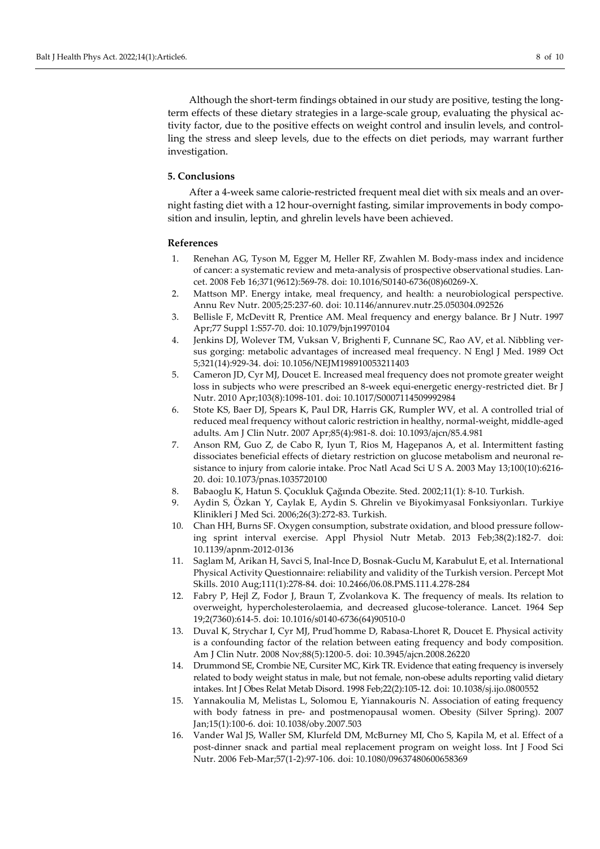Although the short-term findings obtained in our study are positive, testing the longterm effects of these dietary strategies in a large-scale group, evaluating the physical activity factor, due to the positive effects on weight control and insulin levels, and controlling the stress and sleep levels, due to the effects on diet periods, may warrant further investigation.

## **5. Conclusions**

After a 4-week same calorie-restricted frequent meal diet with six meals and an overnight fasting diet with a 12 hour-overnight fasting, similar improvements in body composition and insulin, leptin, and ghrelin levels have been achieved.

#### **References**

- 1. Renehan AG, Tyson M, Egger M, Heller RF, Zwahlen M. Body-mass index and incidence of cancer: a systematic review and meta-analysis of prospective observational studies. Lancet. 2008 Feb 16;371(9612):569-78. doi: [10.1016/S0140-6736\(08\)60269-X.](https://doi.org/10.1016/S0140-6736(08)60269-X)
- 2. Mattson MP. Energy intake, meal frequency, and health: a neurobiological perspective. Annu Rev Nutr. 2005;25:237-60. doi: [10.1146/annurev.nutr.25.050304.092526](https://doi.org/10.1146/annurev.nutr.25.050304.092526)
- 3. Bellisle F, McDevitt R, Prentice AM. Meal frequency and energy balance. Br J Nutr. 1997 Apr;77 Suppl 1:S57-70. doi[: 10.1079/bjn19970104](https://doi.org/10.1079/bjn19970104)
- 4. Jenkins DJ, Wolever TM, Vuksan V, Brighenti F, Cunnane SC, Rao AV, et al. Nibbling versus gorging: metabolic advantages of increased meal frequency. N Engl J Med. 1989 Oct 5;321(14):929-34. doi: [10.1056/NEJM198910053211403](https://doi.org/10.1056/NEJM198910053211403)
- 5. Cameron JD, Cyr MJ, Doucet E. Increased meal frequency does not promote greater weight loss in subjects who were prescribed an 8-week equi-energetic energy-restricted diet. Br J Nutr. 2010 Apr;103(8):1098-101. doi: [10.1017/S0007114509992984](https://doi.org/10.1017/S0007114509992984)
- 6. Stote KS, Baer DJ, Spears K, Paul DR, Harris GK, Rumpler WV, et al. A controlled trial of reduced meal frequency without caloric restriction in healthy, normal-weight, middle-aged adults. Am J Clin Nutr. 2007 Apr;85(4):981-8. doi: [10.1093/ajcn/85.4.981](https://doi.org/10.1093/ajcn/85.4.981)
- 7. Anson RM, Guo Z, de Cabo R, Iyun T, Rios M, Hagepanos A, et al. Intermittent fasting dissociates beneficial effects of dietary restriction on glucose metabolism and neuronal resistance to injury from calorie intake. Proc Natl Acad Sci U S A. 2003 May 13;100(10):6216- 20. doi: [10.1073/pnas.1035720100](https://doi.org/10.1073/pnas.1035720100)
- 8. Babaoglu K, Hatun S. Çocukluk Çağında Obezite. Sted. 2002;11(1): 8-10. Turkish.
- 9. Aydin S, Özkan Y, Caylak E, Aydin S. Ghrelin ve Biyokimyasal Fonksiyonları. Turkiye Klinikleri J Med Sci. 2006;26(3):272-83. Turkish.
- 10. Chan HH, Burns SF. Oxygen consumption, substrate oxidation, and blood pressure following sprint interval exercise. Appl Physiol Nutr Metab. 2013 Feb;38(2):182-7. doi: [10.1139/apnm-2012-0136](https://doi.org/10.1139/apnm-2012-0136)
- 11. Saglam M, Arikan H, Savci S, Inal-Ince D, Bosnak-Guclu M, Karabulut E, et al. International Physical Activity Questionnaire: reliability and validity of the Turkish version. Percept Mot Skills. 2010 Aug;111(1):278-84. doi: [10.2466/06.08.PMS.111.4.278-284](https://doi.org/10.2466/06.08.PMS.111.4.278-284)
- 12. Fabry P, Hejl Z, Fodor J, Braun T, Zvolankova K. The frequency of meals. Its relation to overweight, hypercholesterolaemia, and decreased glucose-tolerance. Lancet. 1964 Sep 19;2(7360):614-5. doi: [10.1016/s0140-6736\(64\)90510-0](https://doi.org/10.1016/s0140-6736(64)90510-0)
- 13. Duval K, Strychar I, Cyr MJ, Prud'homme D, Rabasa-Lhoret R, Doucet E. Physical activity is a confounding factor of the relation between eating frequency and body composition. Am J Clin Nutr. 2008 Nov;88(5):1200-5. doi: [10.3945/ajcn.2008.26220](https://doi.org/10.3945/ajcn.2008.26220)
- 14. Drummond SE, Crombie NE, Cursiter MC, Kirk TR. Evidence that eating frequency is inversely related to body weight status in male, but not female, non-obese adults reporting valid dietary intakes. Int J Obes Relat Metab Disord. 1998 Feb;22(2):105-12. doi[: 10.1038/sj.ijo.0800552](https://doi.org/10.1038/sj.ijo.0800552)
- 15. Yannakoulia M, Melistas L, Solomou E, Yiannakouris N. Association of eating frequency with body fatness in pre- and postmenopausal women. Obesity (Silver Spring). 2007 Jan;15(1):100-6. doi: [10.1038/oby.2007.503](https://doi.org/10.1038/sj.ijo.0800552)
- 16. Vander Wal JS, Waller SM, Klurfeld DM, McBurney MI, Cho S, Kapila M, et al. Effect of a post-dinner snack and partial meal replacement program on weight loss. Int J Food Sci Nutr. 2006 Feb-Mar;57(1-2):97-106. doi: [10.1080/09637480600658369](https://doi.org/10.1080/09637480600658369)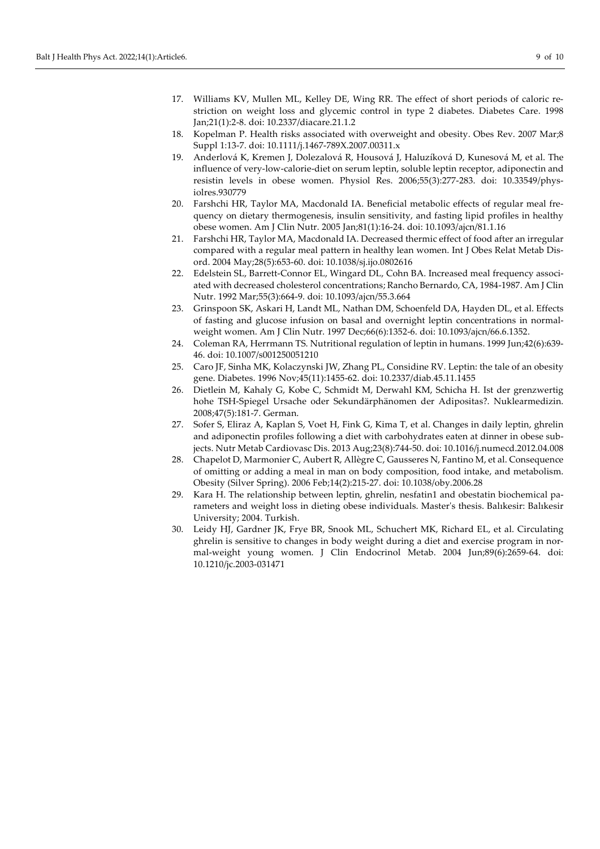- 18. Kopelman P. Health risks associated with overweight and obesity. Obes Rev. 2007 Mar;8 Suppl 1:13-7. doi: [10.1111/j.1467-789X.2007.00311.x](https://doi.org/10.1111/j.1467-789X.2007.00311.x)
- 19. Anderlová K, Kremen J, Dolezalová R, Housová J, Haluzíková D, Kunesová M, et al. The influence of very-low-calorie-diet on serum leptin, soluble leptin receptor, adiponectin and resistin levels in obese women. Physiol Res. 2006;55(3):277-283. doi: [10.33549/phys](https://doi.org/10.33549/physiolres.930779)[iolres.930779](https://doi.org/10.33549/physiolres.930779)
- 20. Farshchi HR, Taylor MA, Macdonald IA. Beneficial metabolic effects of regular meal frequency on dietary thermogenesis, insulin sensitivity, and fasting lipid profiles in healthy obese women. Am J Clin Nutr. 2005 Jan;81(1):16-24. doi: [10.1093/ajcn/81.1.16](https://doi.org/10.1093/ajcn/81.1.16)
- 21. Farshchi HR, Taylor MA, Macdonald IA. Decreased thermic effect of food after an irregular compared with a regular meal pattern in healthy lean women. Int J Obes Relat Metab Disord. 2004 May;28(5):653-60. doi[: 10.1038/sj.ijo.0802616](https://doi.org/10.1038/sj.ijo.0802616)
- 22. Edelstein SL, Barrett-Connor EL, Wingard DL, Cohn BA. Increased meal frequency associated with decreased cholesterol concentrations; Rancho Bernardo, CA, 1984-1987. Am J Clin Nutr. 1992 Mar;55(3):664-9. doi: [10.1093/ajcn/55.3.664](https://doi.org/10.1093/ajcn/55.3.664)
- 23. Grinspoon SK, Askari H, Landt ML, Nathan DM, Schoenfeld DA, Hayden DL, et al. Effects of fasting and glucose infusion on basal and overnight leptin concentrations in normalweight women. Am J Clin Nutr. 1997 Dec;66(6):1352-6. doi: 10.1093/ajcn/66.6.1352.
- 24. Coleman RA, Herrmann TS. Nutritional regulation of leptin in humans. 1999 Jun;42(6):639- 46. doi: [10.1007/s001250051210](https://doi.org/10.1007/s001250051210)
- 25. Caro JF, Sinha MK, Kolaczynski JW, Zhang PL, Considine RV. Leptin: the tale of an obesity gene. Diabetes. 1996 Nov;45(11):1455-62. doi: [10.2337/diab.45.11.1455](https://doi.org/10.2337/diab.45.11.1455)
- 26. Dietlein M, Kahaly G, Kobe C, Schmidt M, Derwahl KM, Schicha H. Ist der grenzwertig hohe TSH-Spiegel Ursache oder Sekundärphänomen der Adipositas?. Nuklearmedizin. 2008;47(5):181-7. German.
- 27. Sofer S, Eliraz A, Kaplan S, Voet H, Fink G, Kima T, et al. Changes in daily leptin, ghrelin and adiponectin profiles following a diet with carbohydrates eaten at dinner in obese subjects. Nutr Metab Cardiovasc Dis. 2013 Aug;23(8):744-50. doi[: 10.1016/j.numecd.2012.04.008](https://doi.org/10.1016/j.numecd.2012.04.008)
- 28. Chapelot D, Marmonier C, Aubert R, Allègre C, Gausseres N, Fantino M, et al. Consequence of omitting or adding a meal in man on body composition, food intake, and metabolism. Obesity (Silver Spring). 2006 Feb;14(2):215-27. doi[: 10.1038/oby.2006.28](https://doi.org/10.1038/oby.2006.28)
- 29. Kara H. The relationship between leptin, ghrelin, nesfatin1 and obestatin biochemical parameters and weight loss in dieting obese individuals. Master's thesis. Balıkesir: Balıkesir University; 2004. Turkish.
- 30. Leidy HJ, Gardner JK, Frye BR, Snook ML, Schuchert MK, Richard EL, et al. Circulating ghrelin is sensitive to changes in body weight during a diet and exercise program in normal-weight young women. J Clin Endocrinol Metab. 2004 Jun;89(6):2659-64. doi: [10.1210/jc.2003-031471](https://doi.org/10.1210/jc.2003-031471)